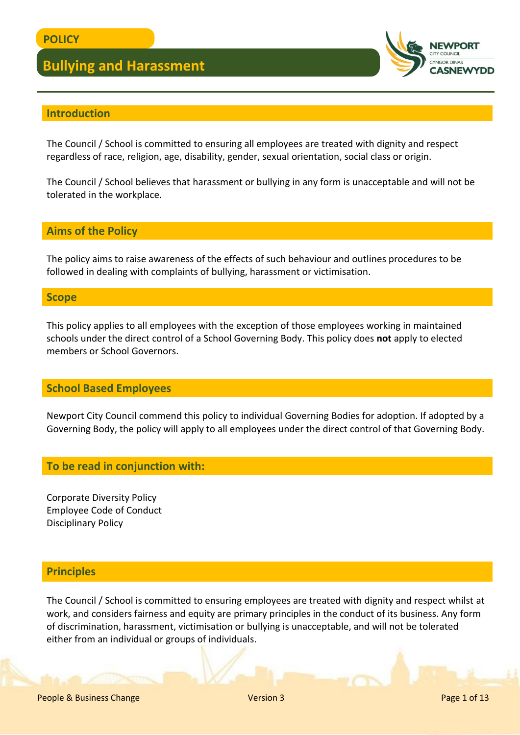

## **Introduction**

The Council / School is committed to ensuring all employees are treated with dignity and respect regardless of race, religion, age, disability, gender, sexual orientation, social class or origin.

The Council / School believes that harassment or bullying in any form is unacceptable and will not be tolerated in the workplace.

## **Aims of the Policy**

The policy aims to raise awareness of the effects of such behaviour and outlines procedures to be followed in dealing with complaints of bullying, harassment or victimisation.

### **Scope**

This policy applies to all employees with the exception of those employees working in maintained schools under the direct control of a School Governing Body. This policy does **not** apply to elected members or School Governors.

### **School Based Employees**

Newport City Council commend this policy to individual Governing Bodies for adoption. If adopted by a Governing Body, the policy will apply to all employees under the direct control of that Governing Body.

### **To be read in conjunction with:**

Corporate Diversity Policy Employee Code of Conduct Disciplinary Policy

## **Principles**

The Council / School is committed to ensuring employees are treated with dignity and respect whilst at work, and considers fairness and equity are primary principles in the conduct of its business. Any form of discrimination, harassment, victimisation or bullying is unacceptable, and will not be tolerated either from an individual or groups of individuals.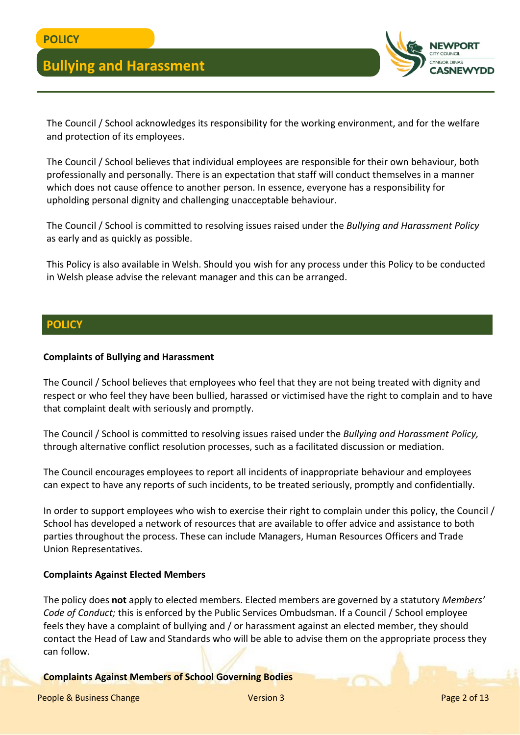

The Council / School acknowledges its responsibility for the working environment, and for the welfare and protection of its employees.

The Council / School believes that individual employees are responsible for their own behaviour, both professionally and personally. There is an expectation that staff will conduct themselves in a manner which does not cause offence to another person. In essence, everyone has a responsibility for upholding personal dignity and challenging unacceptable behaviour.

The Council / School is committed to resolving issues raised under the *Bullying and Harassment Policy*  as early and as quickly as possible.

This Policy is also available in Welsh. Should you wish for any process under this Policy to be conducted in Welsh please advise the relevant manager and this can be arranged.

## **POLICY**

#### **Complaints of Bullying and Harassment**

The Council / School believes that employees who feel that they are not being treated with dignity and respect or who feel they have been bullied, harassed or victimised have the right to complain and to have that complaint dealt with seriously and promptly.

The Council / School is committed to resolving issues raised under the *Bullying and Harassment Policy,* through alternative conflict resolution processes, such as a facilitated discussion or mediation.

The Council encourages employees to report all incidents of inappropriate behaviour and employees can expect to have any reports of such incidents, to be treated seriously, promptly and confidentially.

In order to support employees who wish to exercise their right to complain under this policy, the Council / School has developed a network of resources that are available to offer advice and assistance to both parties throughout the process. These can include Managers, Human Resources Officers and Trade Union Representatives.

#### **Complaints Against Elected Members**

The policy does **not** apply to elected members. Elected members are governed by a statutory *Members' Code of Conduct;* this is enforced by the Public Services Ombudsman. If a Council / School employee feels they have a complaint of bullying and / or harassment against an elected member, they should contact the Head of Law and Standards who will be able to advise them on the appropriate process they can follow.

#### **Complaints Against Members of School Governing Bodies**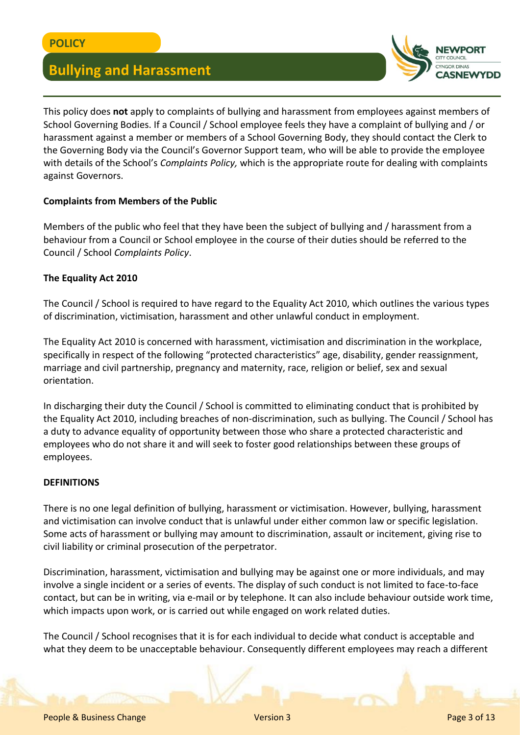

This policy does **not** apply to complaints of bullying and harassment from employees against members of School Governing Bodies. If a Council / School employee feels they have a complaint of bullying and / or harassment against a member or members of a School Governing Body, they should contact the Clerk to the Governing Body via the Council's Governor Support team, who will be able to provide the employee with details of the School's *Complaints Policy,* which is the appropriate route for dealing with complaints against Governors.

## **Complaints from Members of the Public**

Members of the public who feel that they have been the subject of bullying and / harassment from a behaviour from a Council or School employee in the course of their duties should be referred to the Council / School *Complaints Policy*.

### **The Equality Act 2010**

The Council / School is required to have regard to the Equality Act 2010, which outlines the various types of discrimination, victimisation, harassment and other unlawful conduct in employment.

The Equality Act 2010 is concerned with harassment, victimisation and discrimination in the workplace, specifically in respect of the following "protected characteristics" age, disability, gender reassignment, marriage and civil partnership, pregnancy and maternity, race, religion or belief, sex and sexual orientation.

In discharging their duty the Council / School is committed to eliminating conduct that is prohibited by the Equality Act 2010, including breaches of non-discrimination, such as bullying. The Council / School has a duty to advance equality of opportunity between those who share a protected characteristic and employees who do not share it and will seek to foster good relationships between these groups of employees.

### **DEFINITIONS**

There is no one legal definition of bullying, harassment or victimisation. However, bullying, harassment and victimisation can involve conduct that is unlawful under either common law or specific legislation. Some acts of harassment or bullying may amount to discrimination, assault or incitement, giving rise to civil liability or criminal prosecution of the perpetrator.

Discrimination, harassment, victimisation and bullying may be against one or more individuals, and may involve a single incident or a series of events. The display of such conduct is not limited to face-to-face contact, but can be in writing, via e-mail or by telephone. It can also include behaviour outside work time, which impacts upon work, or is carried out while engaged on work related duties.

The Council / School recognises that it is for each individual to decide what conduct is acceptable and what they deem to be unacceptable behaviour. Consequently different employees may reach a different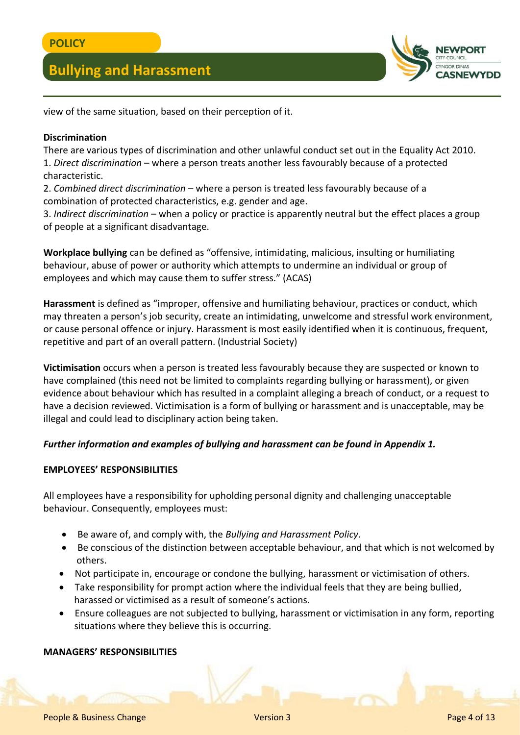

view of the same situation, based on their perception of it.

## **Discrimination**

There are various types of discrimination and other unlawful conduct set out in the Equality Act 2010. 1. *Direct discrimination* – where a person treats another less favourably because of a protected characteristic.

2. *Combined direct discrimination* – where a person is treated less favourably because of a combination of protected characteristics, e.g. gender and age.

3. *Indirect discrimination* – when a policy or practice is apparently neutral but the effect places a group of people at a significant disadvantage.

**Workplace bullying** can be defined as "offensive, intimidating, malicious, insulting or humiliating behaviour, abuse of power or authority which attempts to undermine an individual or group of employees and which may cause them to suffer stress." (ACAS)

**Harassment** is defined as "improper, offensive and humiliating behaviour, practices or conduct, which may threaten a person's job security, create an intimidating, unwelcome and stressful work environment, or cause personal offence or injury. Harassment is most easily identified when it is continuous, frequent, repetitive and part of an overall pattern. (Industrial Society)

**Victimisation** occurs when a person is treated less favourably because they are suspected or known to have complained (this need not be limited to complaints regarding bullying or harassment), or given evidence about behaviour which has resulted in a complaint alleging a breach of conduct, or a request to have a decision reviewed. Victimisation is a form of bullying or harassment and is unacceptable, may be illegal and could lead to disciplinary action being taken.

## *Further information and examples of bullying and harassment can be found in Appendix 1.*

### **EMPLOYEES' RESPONSIBILITIES**

All employees have a responsibility for upholding personal dignity and challenging unacceptable behaviour. Consequently, employees must:

- Be aware of, and comply with, the *Bullying and Harassment Policy*.
- Be conscious of the distinction between acceptable behaviour, and that which is not welcomed by others.
- Not participate in, encourage or condone the bullying, harassment or victimisation of others.
- Take responsibility for prompt action where the individual feels that they are being bullied, harassed or victimised as a result of someone's actions.
- Ensure colleagues are not subjected to bullying, harassment or victimisation in any form, reporting situations where they believe this is occurring.

## **MANAGERS' RESPONSIBILITIES**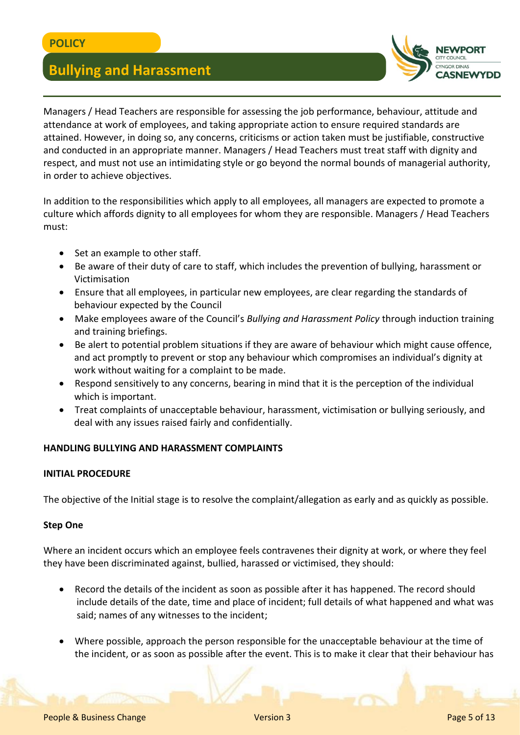

Managers / Head Teachers are responsible for assessing the job performance, behaviour, attitude and attendance at work of employees, and taking appropriate action to ensure required standards are attained. However, in doing so, any concerns, criticisms or action taken must be justifiable, constructive and conducted in an appropriate manner. Managers / Head Teachers must treat staff with dignity and respect, and must not use an intimidating style or go beyond the normal bounds of managerial authority, in order to achieve objectives.

In addition to the responsibilities which apply to all employees, all managers are expected to promote a culture which affords dignity to all employees for whom they are responsible. Managers / Head Teachers must:

- Set an example to other staff.
- Be aware of their duty of care to staff, which includes the prevention of bullying, harassment or Victimisation
- Ensure that all employees, in particular new employees, are clear regarding the standards of behaviour expected by the Council
- Make employees aware of the Council's *Bullying and Harassment Policy* through induction training and training briefings.
- Be alert to potential problem situations if they are aware of behaviour which might cause offence, and act promptly to prevent or stop any behaviour which compromises an individual's dignity at work without waiting for a complaint to be made.
- Respond sensitively to any concerns, bearing in mind that it is the perception of the individual which is important.
- Treat complaints of unacceptable behaviour, harassment, victimisation or bullying seriously, and deal with any issues raised fairly and confidentially.

## **HANDLING BULLYING AND HARASSMENT COMPLAINTS**

### **INITIAL PROCEDURE**

The objective of the Initial stage is to resolve the complaint/allegation as early and as quickly as possible.

### **Step One**

Where an incident occurs which an employee feels contravenes their dignity at work, or where they feel they have been discriminated against, bullied, harassed or victimised, they should:

- Record the details of the incident as soon as possible after it has happened. The record should include details of the date, time and place of incident; full details of what happened and what was said; names of any witnesses to the incident;
- Where possible, approach the person responsible for the unacceptable behaviour at the time of the incident, or as soon as possible after the event. This is to make it clear that their behaviour has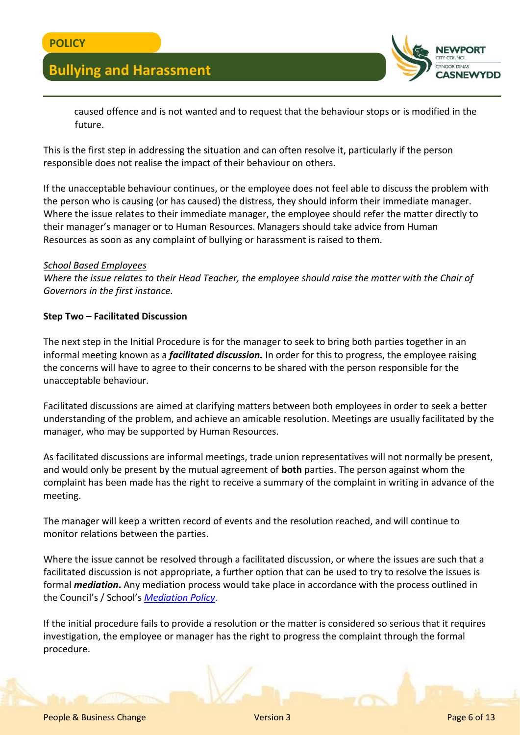

 caused offence and is not wanted and to request that the behaviour stops or is modified in the future.

This is the first step in addressing the situation and can often resolve it, particularly if the person responsible does not realise the impact of their behaviour on others.

If the unacceptable behaviour continues, or the employee does not feel able to discuss the problem with the person who is causing (or has caused) the distress, they should inform their immediate manager. Where the issue relates to their immediate manager, the employee should refer the matter directly to their manager's manager or to Human Resources. Managers should take advice from Human Resources as soon as any complaint of bullying or harassment is raised to them.

#### *School Based Employees*

*Where the issue relates to their Head Teacher, the employee should raise the matter with the Chair of Governors in the first instance.*

### **Step Two – Facilitated Discussion**

The next step in the Initial Procedure is for the manager to seek to bring both parties together in an informal meeting known as a *facilitated discussion.* In order for this to progress, the employee raising the concerns will have to agree to their concerns to be shared with the person responsible for the unacceptable behaviour.

Facilitated discussions are aimed at clarifying matters between both employees in order to seek a better understanding of the problem, and achieve an amicable resolution. Meetings are usually facilitated by the manager, who may be supported by Human Resources.

As facilitated discussions are informal meetings, trade union representatives will not normally be present, and would only be present by the mutual agreement of **both** parties. The person against whom the complaint has been made has the right to receive a summary of the complaint in writing in advance of the meeting.

The manager will keep a written record of events and the resolution reached, and will continue to monitor relations between the parties.

Where the issue cannot be resolved through a facilitated discussion, or where the issues are such that a facilitated discussion is not appropriate, a further option that can be used to try to resolve the issues is formal *mediation***.** Any mediation process would take place in accordance with the process outlined in the Council's / School's *[Mediation Policy](http://www.newport.gov.uk/documents/Policies/HR-Mediation-Policy.pdf)*.

If the initial procedure fails to provide a resolution or the matter is considered so serious that it requires investigation, the employee or manager has the right to progress the complaint through the formal procedure.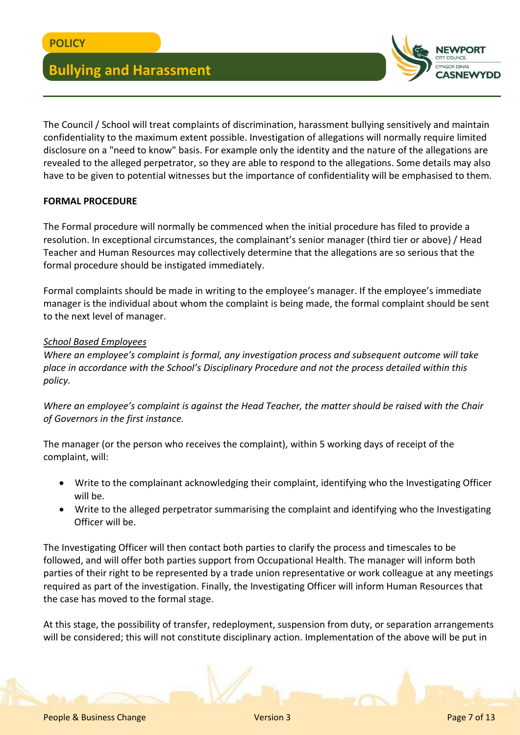

The Council / School will treat complaints of discrimination, harassment bullying sensitively and maintain confidentiality to the maximum extent possible. Investigation of allegations will normally require limited disclosure on a "need to know" basis. For example only the identity and the nature of the allegations are revealed to the alleged perpetrator, so they are able to respond to the allegations. Some details may also have to be given to potential witnesses but the importance of confidentiality will be emphasised to them.

## **FORMAL PROCEDURE**

The Formal procedure will normally be commenced when the initial procedure has filed to provide a resolution. In exceptional circumstances, the complainant's senior manager (third tier or above) / Head Teacher and Human Resources may collectively determine that the allegations are so serious that the formal procedure should be instigated immediately.

Formal complaints should be made in writing to the employee's manager. If the employee's immediate manager is the individual about whom the complaint is being made, the formal complaint should be sent to the next level of manager.

### *School Based Employees*

*Where an employee's complaint is formal, any investigation process and subsequent outcome will take place in accordance with the School's Disciplinary Procedure and not the process detailed within this policy.*

*Where an employee's complaint is against the Head Teacher, the matter should be raised with the Chair of Governors in the first instance.*

The manager (or the person who receives the complaint), within 5 working days of receipt of the complaint, will:

- Write to the complainant acknowledging their complaint, identifying who the Investigating Officer will be.
- Write to the alleged perpetrator summarising the complaint and identifying who the Investigating Officer will be.

The Investigating Officer will then contact both parties to clarify the process and timescales to be followed, and will offer both parties support from Occupational Health. The manager will inform both parties of their right to be represented by a trade union representative or work colleague at any meetings required as part of the investigation. Finally, the Investigating Officer will inform Human Resources that the case has moved to the formal stage.

At this stage, the possibility of transfer, redeployment, suspension from duty, or separation arrangements will be considered; this will not constitute disciplinary action. Implementation of the above will be put in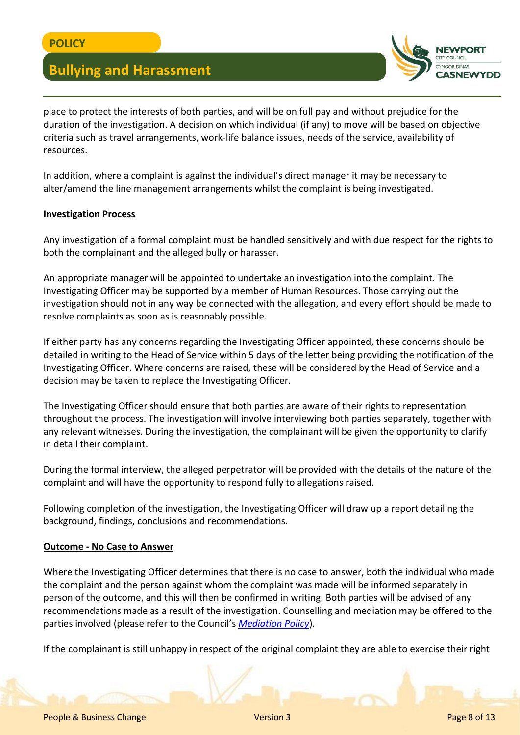

place to protect the interests of both parties, and will be on full pay and without prejudice for the duration of the investigation. A decision on which individual (if any) to move will be based on objective criteria such as travel arrangements, work-life balance issues, needs of the service, availability of resources.

In addition, where a complaint is against the individual's direct manager it may be necessary to alter/amend the line management arrangements whilst the complaint is being investigated.

### **Investigation Process**

Any investigation of a formal complaint must be handled sensitively and with due respect for the rights to both the complainant and the alleged bully or harasser.

An appropriate manager will be appointed to undertake an investigation into the complaint. The Investigating Officer may be supported by a member of Human Resources. Those carrying out the investigation should not in any way be connected with the allegation, and every effort should be made to resolve complaints as soon as is reasonably possible.

If either party has any concerns regarding the Investigating Officer appointed, these concerns should be detailed in writing to the Head of Service within 5 days of the letter being providing the notification of the Investigating Officer. Where concerns are raised, these will be considered by the Head of Service and a decision may be taken to replace the Investigating Officer.

The Investigating Officer should ensure that both parties are aware of their rights to representation throughout the process. The investigation will involve interviewing both parties separately, together with any relevant witnesses. During the investigation, the complainant will be given the opportunity to clarify in detail their complaint.

During the formal interview, the alleged perpetrator will be provided with the details of the nature of the complaint and will have the opportunity to respond fully to allegations raised.

Following completion of the investigation, the Investigating Officer will draw up a report detailing the background, findings, conclusions and recommendations.

### **Outcome - No Case to Answer**

Where the Investigating Officer determines that there is no case to answer, both the individual who made the complaint and the person against whom the complaint was made will be informed separately in person of the outcome, and this will then be confirmed in writing. Both parties will be advised of any recommendations made as a result of the investigation. Counselling and mediation may be offered to the parties involved (please refer to the Council's *[Mediation Policy](http://www.newport.gov.uk/documents/Policies/HR-Mediation-Policy.pdf)*).

If the complainant is still unhappy in respect of the original complaint they are able to exercise their right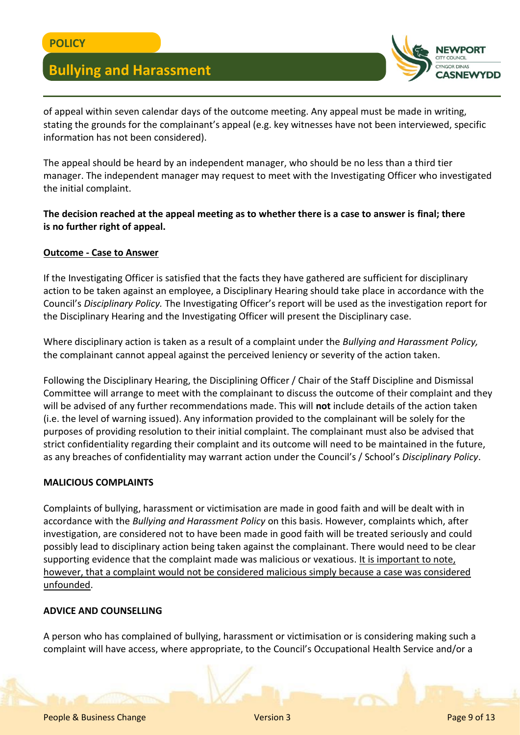

of appeal within seven calendar days of the outcome meeting. Any appeal must be made in writing, stating the grounds for the complainant's appeal (e.g. key witnesses have not been interviewed, specific information has not been considered).

The appeal should be heard by an independent manager, who should be no less than a third tier manager. The independent manager may request to meet with the Investigating Officer who investigated the initial complaint.

## **The decision reached at the appeal meeting as to whether there is a case to answer is final; there is no further right of appeal.**

## **Outcome - Case to Answer**

If the Investigating Officer is satisfied that the facts they have gathered are sufficient for disciplinary action to be taken against an employee, a Disciplinary Hearing should take place in accordance with the Council's *Disciplinary Policy.* The Investigating Officer's report will be used as the investigation report for the Disciplinary Hearing and the Investigating Officer will present the Disciplinary case.

Where disciplinary action is taken as a result of a complaint under the *Bullying and Harassment Policy,* the complainant cannot appeal against the perceived leniency or severity of the action taken.

Following the Disciplinary Hearing, the Disciplining Officer / Chair of the Staff Discipline and Dismissal Committee will arrange to meet with the complainant to discuss the outcome of their complaint and they will be advised of any further recommendations made. This will **not** include details of the action taken (i.e. the level of warning issued). Any information provided to the complainant will be solely for the purposes of providing resolution to their initial complaint. The complainant must also be advised that strict confidentiality regarding their complaint and its outcome will need to be maintained in the future, as any breaches of confidentiality may warrant action under the Council's / School's *Disciplinary Policy*.

### **MALICIOUS COMPLAINTS**

Complaints of bullying, harassment or victimisation are made in good faith and will be dealt with in accordance with the *Bullying and Harassment Policy* on this basis. However, complaints which, after investigation, are considered not to have been made in good faith will be treated seriously and could possibly lead to disciplinary action being taken against the complainant. There would need to be clear supporting evidence that the complaint made was malicious or vexatious. It is important to note, however, that a complaint would not be considered malicious simply because a case was considered unfounded.

### **ADVICE AND COUNSELLING**

A person who has complained of bullying, harassment or victimisation or is considering making such a complaint will have access, where appropriate, to the Council's Occupational Health Service and/or a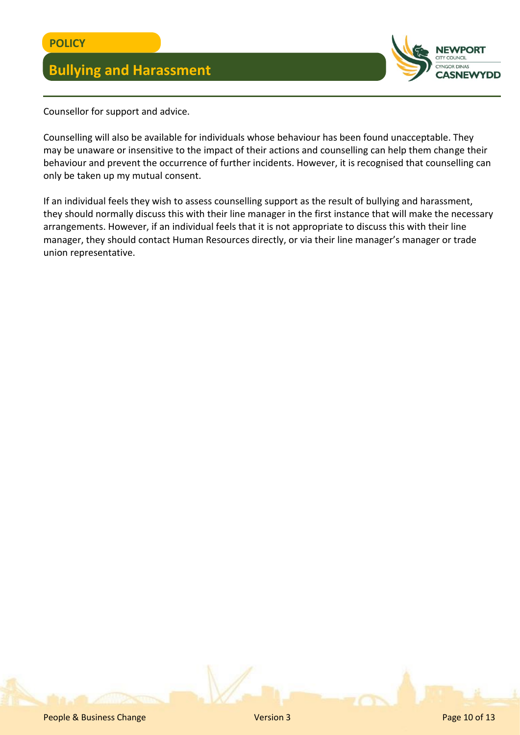

Counsellor for support and advice.

Counselling will also be available for individuals whose behaviour has been found unacceptable. They may be unaware or insensitive to the impact of their actions and counselling can help them change their behaviour and prevent the occurrence of further incidents. However, it is recognised that counselling can only be taken up my mutual consent.

If an individual feels they wish to assess counselling support as the result of bullying and harassment, they should normally discuss this with their line manager in the first instance that will make the necessary arrangements. However, if an individual feels that it is not appropriate to discuss this with their line manager, they should contact Human Resources directly, or via their line manager's manager or trade union representative.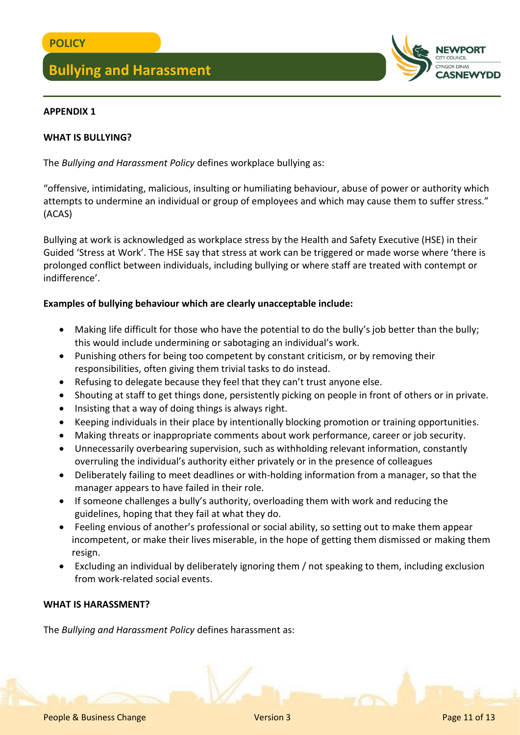

### **APPENDIX 1**

### **WHAT IS BULLYING?**

The *Bullying and Harassment Policy* defines workplace bullying as:

"offensive, intimidating, malicious, insulting or humiliating behaviour, abuse of power or authority which attempts to undermine an individual or group of employees and which may cause them to suffer stress." (ACAS)

Bullying at work is acknowledged as workplace stress by the Health and Safety Executive (HSE) in their Guided 'Stress at Work'. The HSE say that stress at work can be triggered or made worse where 'there is prolonged conflict between individuals, including bullying or where staff are treated with contempt or indifference'.

### **Examples of bullying behaviour which are clearly unacceptable include:**

- Making life difficult for those who have the potential to do the bully's job better than the bully; this would include undermining or sabotaging an individual's work.
- Punishing others for being too competent by constant criticism, or by removing their responsibilities, often giving them trivial tasks to do instead.
- Refusing to delegate because they feel that they can't trust anyone else.
- Shouting at staff to get things done, persistently picking on people in front of others or in private.
- Insisting that a way of doing things is always right.
- Keeping individuals in their place by intentionally blocking promotion or training opportunities.
- Making threats or inappropriate comments about work performance, career or job security.
- Unnecessarily overbearing supervision, such as withholding relevant information, constantly overruling the individual's authority either privately or in the presence of colleagues
- Deliberately failing to meet deadlines or with-holding information from a manager, so that the manager appears to have failed in their role.
- If someone challenges a bully's authority, overloading them with work and reducing the guidelines, hoping that they fail at what they do.
- Feeling envious of another's professional or social ability, so setting out to make them appear incompetent, or make their lives miserable, in the hope of getting them dismissed or making them resign.
- Excluding an individual by deliberately ignoring them / not speaking to them, including exclusion from work-related social events.

### **WHAT IS HARASSMENT?**

The *Bullying and Harassment Policy* defines harassment as: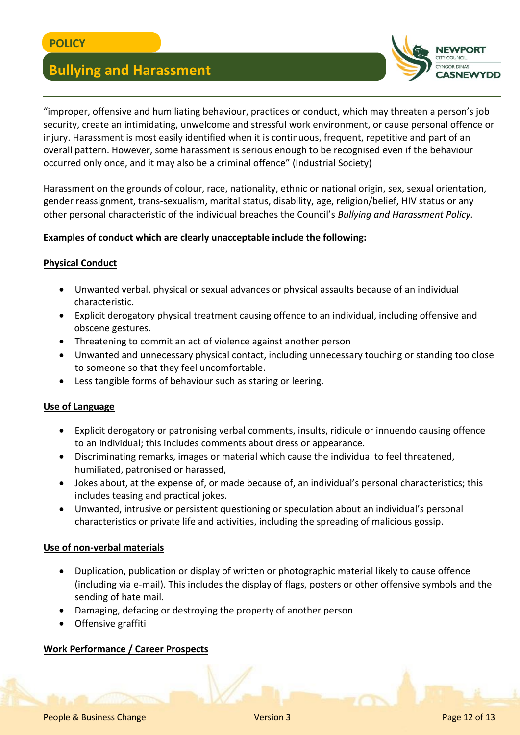

"improper, offensive and humiliating behaviour, practices or conduct, which may threaten a person's job security, create an intimidating, unwelcome and stressful work environment, or cause personal offence or injury. Harassment is most easily identified when it is continuous, frequent, repetitive and part of an overall pattern. However, some harassment is serious enough to be recognised even if the behaviour occurred only once, and it may also be a criminal offence" (Industrial Society)

Harassment on the grounds of colour, race, nationality, ethnic or national origin, sex, sexual orientation, gender reassignment, trans-sexualism, marital status, disability, age, religion/belief, HIV status or any other personal characteristic of the individual breaches the Council's *Bullying and Harassment Policy.*

## **Examples of conduct which are clearly unacceptable include the following:**

## **Physical Conduct**

- Unwanted verbal, physical or sexual advances or physical assaults because of an individual characteristic.
- Explicit derogatory physical treatment causing offence to an individual, including offensive and obscene gestures.
- Threatening to commit an act of violence against another person
- Unwanted and unnecessary physical contact, including unnecessary touching or standing too close to someone so that they feel uncomfortable.
- Less tangible forms of behaviour such as staring or leering.

### **Use of Language**

- Explicit derogatory or patronising verbal comments, insults, ridicule or innuendo causing offence to an individual; this includes comments about dress or appearance.
- Discriminating remarks, images or material which cause the individual to feel threatened, humiliated, patronised or harassed,
- Jokes about, at the expense of, or made because of, an individual's personal characteristics; this includes teasing and practical jokes.
- Unwanted, intrusive or persistent questioning or speculation about an individual's personal characteristics or private life and activities, including the spreading of malicious gossip.

### **Use of non-verbal materials**

- Duplication, publication or display of written or photographic material likely to cause offence (including via e-mail). This includes the display of flags, posters or other offensive symbols and the sending of hate mail.
- Damaging, defacing or destroying the property of another person
- Offensive graffiti

## **Work Performance / Career Prospects**

**People & Business Change 22 of 13** Page 12 of 13